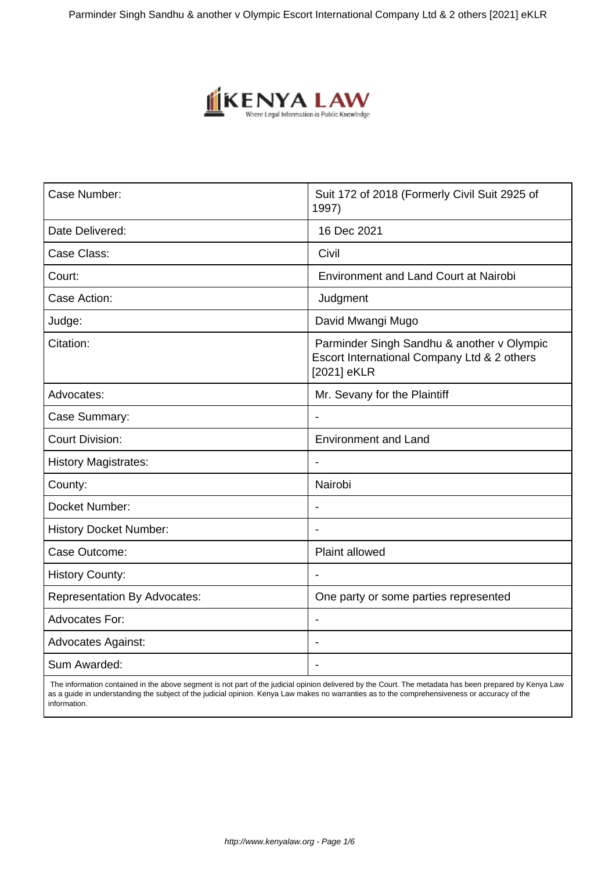

| Case Number:                        | Suit 172 of 2018 (Formerly Civil Suit 2925 of<br>1997)                                                   |
|-------------------------------------|----------------------------------------------------------------------------------------------------------|
| Date Delivered:                     | 16 Dec 2021                                                                                              |
| Case Class:                         | Civil                                                                                                    |
| Court:                              | <b>Environment and Land Court at Nairobi</b>                                                             |
| Case Action:                        | Judgment                                                                                                 |
| Judge:                              | David Mwangi Mugo                                                                                        |
| Citation:                           | Parminder Singh Sandhu & another v Olympic<br>Escort International Company Ltd & 2 others<br>[2021] eKLR |
| Advocates:                          | Mr. Sevany for the Plaintiff                                                                             |
| Case Summary:                       |                                                                                                          |
| <b>Court Division:</b>              | <b>Environment and Land</b>                                                                              |
| <b>History Magistrates:</b>         | $\overline{a}$                                                                                           |
| County:                             | Nairobi                                                                                                  |
| Docket Number:                      |                                                                                                          |
| <b>History Docket Number:</b>       | $\overline{\phantom{0}}$                                                                                 |
| Case Outcome:                       | Plaint allowed                                                                                           |
| <b>History County:</b>              |                                                                                                          |
| <b>Representation By Advocates:</b> | One party or some parties represented                                                                    |
| <b>Advocates For:</b>               | $\blacksquare$                                                                                           |
| <b>Advocates Against:</b>           | $\overline{\phantom{0}}$                                                                                 |
| Sum Awarded:                        |                                                                                                          |

 The information contained in the above segment is not part of the judicial opinion delivered by the Court. The metadata has been prepared by Kenya Law as a guide in understanding the subject of the judicial opinion. Kenya Law makes no warranties as to the comprehensiveness or accuracy of the information.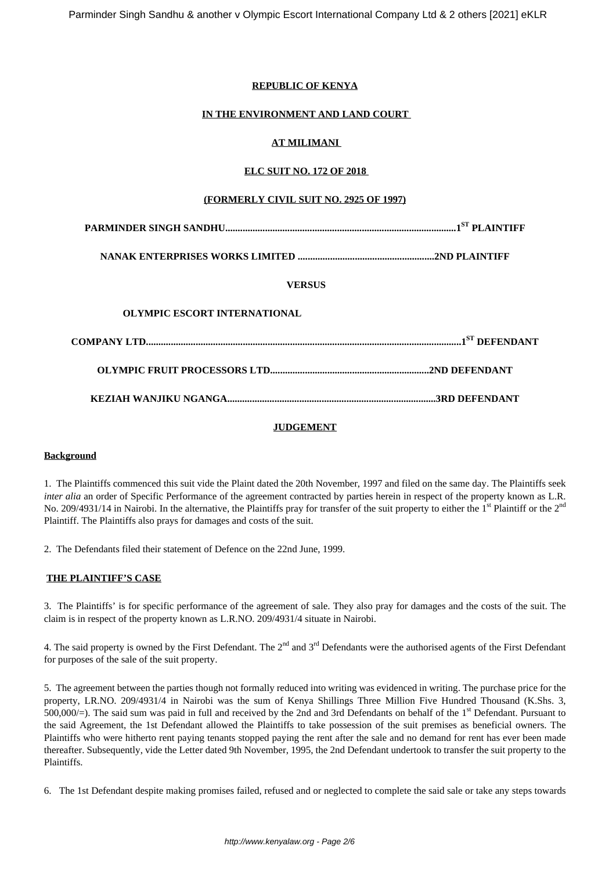# **REPUBLIC OF KENYA**

# **IN THE ENVIRONMENT AND LAND COURT**

# **AT MILIMANI**

# **ELC SUIT NO. 172 OF 2018**

# **(FORMERLY CIVIL SUIT NO. 2925 OF 1997)**

|--|--|--|--|--|--|

**NANAK ENTERPRISES WORKS LIMITED .......................................................2ND PLAINTIFF**

# **VERSUS**

# **OLYMPIC ESCORT INTERNATIONAL**

**COMPANY LTD...............................................................................................................................1ST DEFENDANT OLYMPIC FRUIT PROCESSORS LTD................................................................2ND DEFENDANT KEZIAH WANJIKU NGANGA....................................................................................3RD DEFENDANT**

# **JUDGEMENT**

#### **Background**

1. The Plaintiffs commenced this suit vide the Plaint dated the 20th November, 1997 and filed on the same day. The Plaintiffs seek *inter alia* an order of Specific Performance of the agreement contracted by parties herein in respect of the property known as L.R. No. 209/4931/14 in Nairobi. In the alternative, the Plaintiffs pray for transfer of the suit property to either the 1<sup>st</sup> Plaintiff or the 2<sup>nd</sup> Plaintiff. The Plaintiffs also prays for damages and costs of the suit.

2. The Defendants filed their statement of Defence on the 22nd June, 1999.

#### **THE PLAINTIFF'S CASE**

3. The Plaintiffs' is for specific performance of the agreement of sale. They also pray for damages and the costs of the suit. The claim is in respect of the property known as L.R.NO. 209/4931/4 situate in Nairobi.

4. The said property is owned by the First Defendant. The  $2^{nd}$  and  $3^{rd}$  Defendants were the authorised agents of the First Defendant for purposes of the sale of the suit property.

5. The agreement between the parties though not formally reduced into writing was evidenced in writing. The purchase price for the property, LR.NO. 209/4931/4 in Nairobi was the sum of Kenya Shillings Three Million Five Hundred Thousand (K.Shs. 3,  $500,000/=$ ). The said sum was paid in full and received by the 2nd and 3rd Defendants on behalf of the 1<sup>st</sup> Defendant. Pursuant to the said Agreement, the 1st Defendant allowed the Plaintiffs to take possession of the suit premises as beneficial owners. The Plaintiffs who were hitherto rent paying tenants stopped paying the rent after the sale and no demand for rent has ever been made thereafter. Subsequently, vide the Letter dated 9th November, 1995, the 2nd Defendant undertook to transfer the suit property to the Plaintiffs.

6. The 1st Defendant despite making promises failed, refused and or neglected to complete the said sale or take any steps towards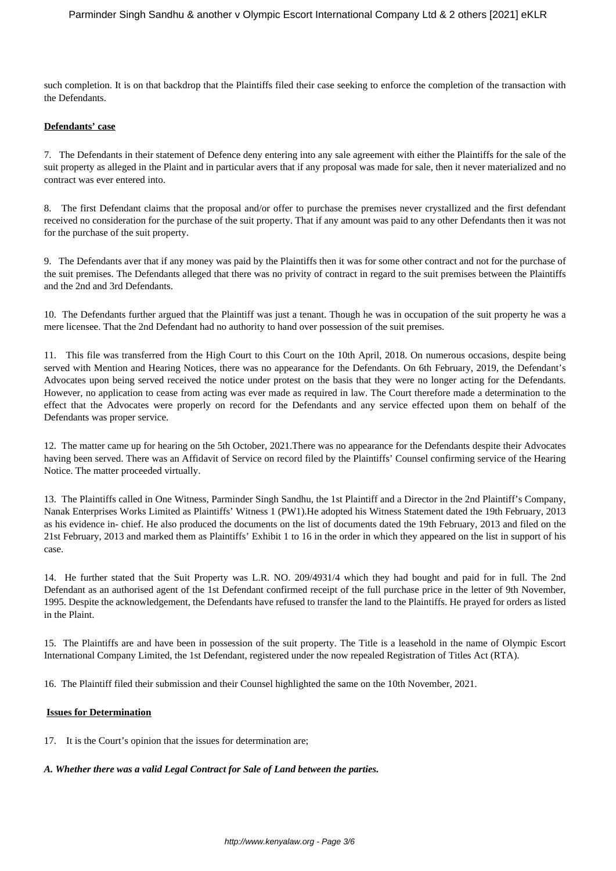such completion. It is on that backdrop that the Plaintiffs filed their case seeking to enforce the completion of the transaction with the Defendants.

#### **Defendants' case**

7. The Defendants in their statement of Defence deny entering into any sale agreement with either the Plaintiffs for the sale of the suit property as alleged in the Plaint and in particular avers that if any proposal was made for sale, then it never materialized and no contract was ever entered into.

8. The first Defendant claims that the proposal and/or offer to purchase the premises never crystallized and the first defendant received no consideration for the purchase of the suit property. That if any amount was paid to any other Defendants then it was not for the purchase of the suit property.

9. The Defendants aver that if any money was paid by the Plaintiffs then it was for some other contract and not for the purchase of the suit premises. The Defendants alleged that there was no privity of contract in regard to the suit premises between the Plaintiffs and the 2nd and 3rd Defendants.

10. The Defendants further argued that the Plaintiff was just a tenant. Though he was in occupation of the suit property he was a mere licensee. That the 2nd Defendant had no authority to hand over possession of the suit premises.

11. This file was transferred from the High Court to this Court on the 10th April, 2018. On numerous occasions, despite being served with Mention and Hearing Notices, there was no appearance for the Defendants. On 6th February, 2019, the Defendant's Advocates upon being served received the notice under protest on the basis that they were no longer acting for the Defendants. However, no application to cease from acting was ever made as required in law. The Court therefore made a determination to the effect that the Advocates were properly on record for the Defendants and any service effected upon them on behalf of the Defendants was proper service.

12. The matter came up for hearing on the 5th October, 2021.There was no appearance for the Defendants despite their Advocates having been served. There was an Affidavit of Service on record filed by the Plaintiffs' Counsel confirming service of the Hearing Notice. The matter proceeded virtually.

13. The Plaintiffs called in One Witness, Parminder Singh Sandhu, the 1st Plaintiff and a Director in the 2nd Plaintiff's Company, Nanak Enterprises Works Limited as Plaintiffs' Witness 1 (PW1).He adopted his Witness Statement dated the 19th February, 2013 as his evidence in- chief. He also produced the documents on the list of documents dated the 19th February, 2013 and filed on the 21st February, 2013 and marked them as Plaintiffs' Exhibit 1 to 16 in the order in which they appeared on the list in support of his case.

14. He further stated that the Suit Property was L.R. NO. 209/4931/4 which they had bought and paid for in full. The 2nd Defendant as an authorised agent of the 1st Defendant confirmed receipt of the full purchase price in the letter of 9th November, 1995. Despite the acknowledgement, the Defendants have refused to transfer the land to the Plaintiffs. He prayed for orders as listed in the Plaint.

15. The Plaintiffs are and have been in possession of the suit property. The Title is a leasehold in the name of Olympic Escort International Company Limited, the 1st Defendant, registered under the now repealed Registration of Titles Act (RTA).

16. The Plaintiff filed their submission and their Counsel highlighted the same on the 10th November, 2021.

#### **Issues for Determination**

17. It is the Court's opinion that the issues for determination are;

#### *A. Whether there was a valid Legal Contract for Sale of Land between the parties.*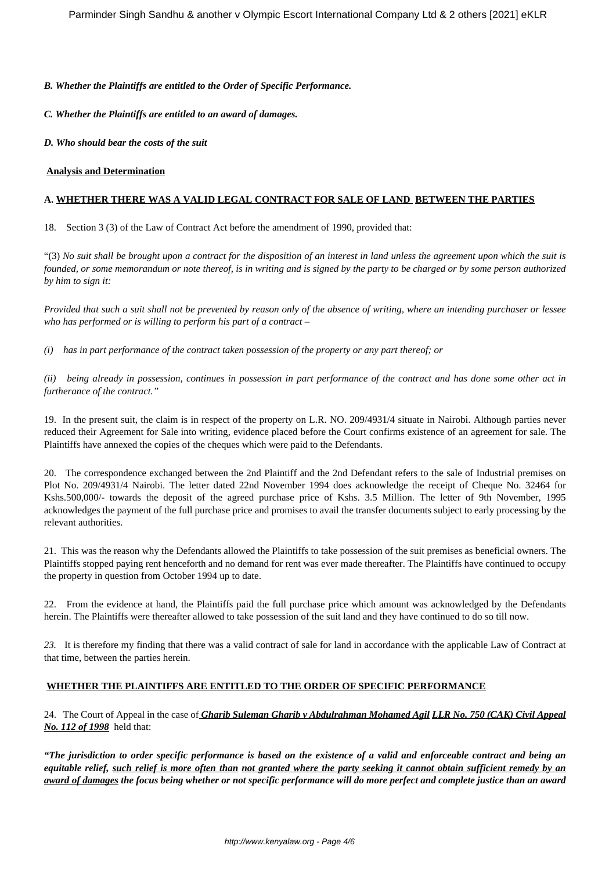# *B. Whether the Plaintiffs are entitled to the Order of Specific Performance.*

### *C. Whether the Plaintiffs are entitled to an award of damages.*

*D. Who should bear the costs of the suit*

#### **Analysis and Determination**

# **A. WHETHER THERE WAS A VALID LEGAL CONTRACT FOR SALE OF LAND BETWEEN THE PARTIES**

18. Section 3 (3) of the Law of Contract Act before the amendment of 1990, provided that:

"(3) *No suit shall be brought upon a contract for the disposition of an interest in land unless the agreement upon which the suit is founded, or some memorandum or note thereof, is in writing and is signed by the party to be charged or by some person authorized by him to sign it:*

*Provided that such a suit shall not be prevented by reason only of the absence of writing, where an intending purchaser or lessee who has performed or is willing to perform his part of a contract –*

*(i) has in part performance of the contract taken possession of the property or any part thereof; or*

*(ii) being already in possession, continues in possession in part performance of the contract and has done some other act in furtherance of the contract."*

19. In the present suit, the claim is in respect of the property on L.R. NO. 209/4931/4 situate in Nairobi. Although parties never reduced their Agreement for Sale into writing, evidence placed before the Court confirms existence of an agreement for sale. The Plaintiffs have annexed the copies of the cheques which were paid to the Defendants.

20. The correspondence exchanged between the 2nd Plaintiff and the 2nd Defendant refers to the sale of Industrial premises on Plot No. 209/4931/4 Nairobi. The letter dated 22nd November 1994 does acknowledge the receipt of Cheque No. 32464 for Kshs.500,000/- towards the deposit of the agreed purchase price of Kshs. 3.5 Million. The letter of 9th November, 1995 acknowledges the payment of the full purchase price and promises to avail the transfer documents subject to early processing by the relevant authorities.

21. This was the reason why the Defendants allowed the Plaintiffs to take possession of the suit premises as beneficial owners. The Plaintiffs stopped paying rent henceforth and no demand for rent was ever made thereafter. The Plaintiffs have continued to occupy the property in question from October 1994 up to date.

22. From the evidence at hand, the Plaintiffs paid the full purchase price which amount was acknowledged by the Defendants herein. The Plaintiffs were thereafter allowed to take possession of the suit land and they have continued to do so till now.

*23.* It is therefore my finding that there was a valid contract of sale for land in accordance with the applicable Law of Contract at that time, between the parties herein.

# **WHETHER THE PLAINTIFFS ARE ENTITLED TO THE ORDER OF SPECIFIC PERFORMANCE**

24. The Court of Appeal in the case of *Gharib Suleman Gharib v Abdulrahman Mohamed Agil LLR No. 750 (CAK) Civil Appeal No. 112 of 1998* held that:

*"The jurisdiction to order specific performance is based on the existence of a valid and enforceable contract and being an equitable relief, such relief is more often than not granted where the party seeking it cannot obtain sufficient remedy by an award of damages the focus being whether or not specific performance will do more perfect and complete justice than an award*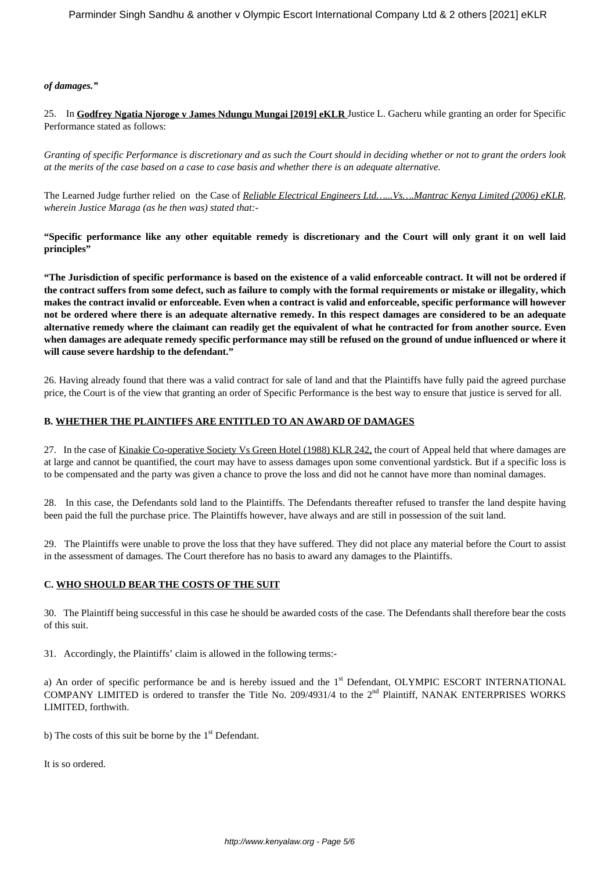*of damages."*

### 25. In **Godfrey Ngatia Njoroge v James Ndungu Mungai [2019] eKLR** Justice L. Gacheru while granting an order for Specific Performance stated as follows:

*Granting of specific Performance is discretionary and as such the Court should in deciding whether or not to grant the orders look at the merits of the case based on a case to case basis and whether there is an adequate alternative.* 

The Learned Judge further relied on the Case of *Reliable Electrical Engineers Ltd…...Vs….Mantrac Kenya Limited (2006) eKLR, wherein Justice Maraga (as he then was) stated that:-*

**"Specific performance like any other equitable remedy is discretionary and the Court will only grant it on well laid principles"**

**"The Jurisdiction of specific performance is based on the existence of a valid enforceable contract. It will not be ordered if the contract suffers from some defect, such as failure to comply with the formal requirements or mistake or illegality, which makes the contract invalid or enforceable. Even when a contract is valid and enforceable, specific performance will however not be ordered where there is an adequate alternative remedy. In this respect damages are considered to be an adequate alternative remedy where the claimant can readily get the equivalent of what he contracted for from another source. Even when damages are adequate remedy specific performance may still be refused on the ground of undue influenced or where it will cause severe hardship to the defendant."**

26. Having already found that there was a valid contract for sale of land and that the Plaintiffs have fully paid the agreed purchase price, the Court is of the view that granting an order of Specific Performance is the best way to ensure that justice is served for all.

# **B. WHETHER THE PLAINTIFFS ARE ENTITLED TO AN AWARD OF DAMAGES**

27. In the case of Kinakie Co-operative Society Vs Green Hotel (1988) KLR 242, the court of Appeal held that where damages are at large and cannot be quantified, the court may have to assess damages upon some conventional yardstick. But if a specific loss is to be compensated and the party was given a chance to prove the loss and did not he cannot have more than nominal damages.

28. In this case, the Defendants sold land to the Plaintiffs. The Defendants thereafter refused to transfer the land despite having been paid the full the purchase price. The Plaintiffs however, have always and are still in possession of the suit land.

29. The Plaintiffs were unable to prove the loss that they have suffered. They did not place any material before the Court to assist in the assessment of damages. The Court therefore has no basis to award any damages to the Plaintiffs.

#### **C. WHO SHOULD BEAR THE COSTS OF THE SUIT**

30. The Plaintiff being successful in this case he should be awarded costs of the case. The Defendants shall therefore bear the costs of this suit.

31. Accordingly, the Plaintiffs' claim is allowed in the following terms:-

a) An order of specific performance be and is hereby issued and the 1<sup>st</sup> Defendant, OLYMPIC ESCORT INTERNATIONAL COMPANY LIMITED is ordered to transfer the Title No. 209/4931/4 to the  $2<sup>nd</sup>$  Plaintiff, NANAK ENTERPRISES WORKS LIMITED, forthwith.

b) The costs of this suit be borne by the  $1<sup>st</sup>$  Defendant.

It is so ordered.